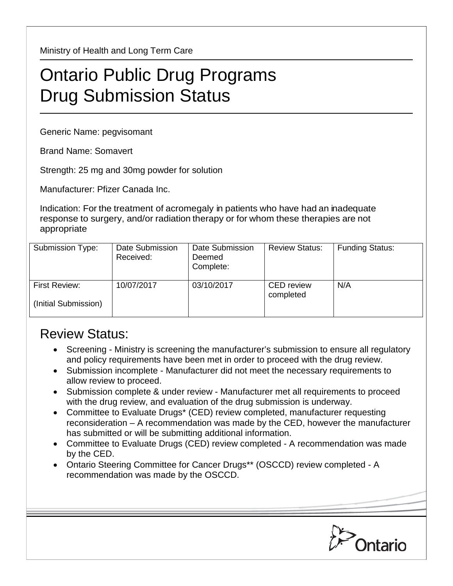Ministry of Health and Long Term Care

## Ontario Public Drug Programs Drug Submission Status

Generic Name: pegvisomant

Brand Name: Somavert

Strength: 25 mg and 30mg powder for solution

Manufacturer: Pfizer Canada Inc.

Indication: For the treatment of acromegaly in patients who have had an inadequate response to surgery, and/or radiation therapy or for whom these therapies are not appropriate

| Submission Type:                             | Date Submission<br>Received: | Date Submission<br>Deemed<br>Complete: | <b>Review Status:</b>          | <b>Funding Status:</b> |
|----------------------------------------------|------------------------------|----------------------------------------|--------------------------------|------------------------|
| <b>First Review:</b><br>(Initial Submission) | 10/07/2017                   | 03/10/2017                             | <b>CED</b> review<br>completed | N/A                    |

## Review Status:

- Screening Ministry is screening the manufacturer's submission to ensure all regulatory and policy requirements have been met in order to proceed with the drug review.
- Submission incomplete Manufacturer did not meet the necessary requirements to allow review to proceed.
- Submission complete & under review Manufacturer met all requirements to proceed with the drug review, and evaluation of the drug submission is underway.
- Committee to Evaluate Drugs\* (CED) review completed, manufacturer requesting reconsideration – A recommendation was made by the CED, however the manufacturer has submitted or will be submitting additional information.
- Committee to Evaluate Drugs (CED) review completed A recommendation was made by the CED.
- Ontario Steering Committee for Cancer Drugs\*\* (OSCCD) review completed A recommendation was made by the OSCCD.